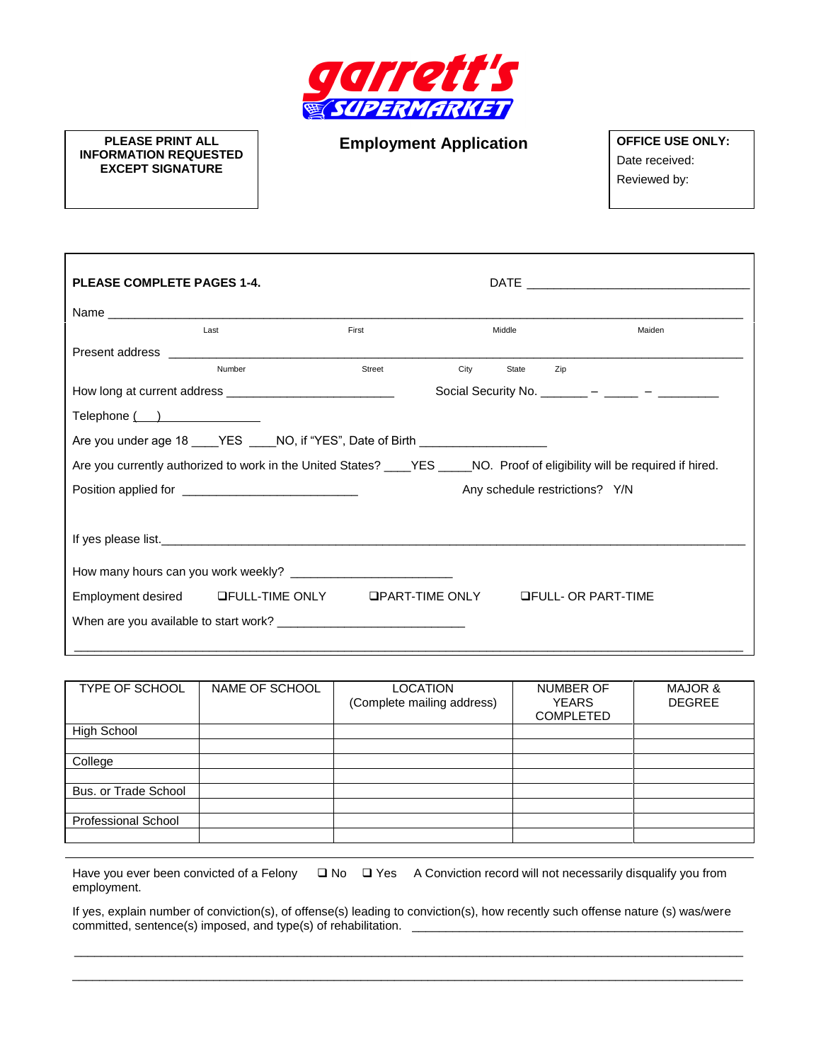

**PLEASE PRINT ALL INFORMATION REQUESTED EXCEPT SIGNATURE**

**Employment Application OFFICE USE ONLY:** 

Date received: Reviewed by:

| <b>PLEASE COMPLETE PAGES 1-4.</b>                                                                                          |                                                                                  |        |      |        |                                             |
|----------------------------------------------------------------------------------------------------------------------------|----------------------------------------------------------------------------------|--------|------|--------|---------------------------------------------|
|                                                                                                                            |                                                                                  |        |      |        |                                             |
|                                                                                                                            | Last                                                                             | First  |      | Middle | Maiden                                      |
|                                                                                                                            |                                                                                  |        |      |        |                                             |
|                                                                                                                            | Number                                                                           | Street | City | State  | Zip                                         |
|                                                                                                                            |                                                                                  |        |      |        | Social Security No. ______ – ____ – _____ – |
| Telephone ()                                                                                                               |                                                                                  |        |      |        |                                             |
|                                                                                                                            | Are you under age 18 ____YES ____NO, if "YES", Date of Birth ___________________ |        |      |        |                                             |
| Are you currently authorized to work in the United States? ____YES ____NO. Proof of eligibility will be required if hired. |                                                                                  |        |      |        |                                             |
|                                                                                                                            | Position applied for __________________________________                          |        |      |        | Any schedule restrictions? Y/N              |
|                                                                                                                            |                                                                                  |        |      |        |                                             |
|                                                                                                                            |                                                                                  |        |      |        |                                             |
|                                                                                                                            |                                                                                  |        |      |        |                                             |
|                                                                                                                            | Employment desired GFULL-TIME ONLY GPART-TIME ONLY GFULL- OR PART-TIME           |        |      |        |                                             |
|                                                                                                                            |                                                                                  |        |      |        |                                             |
|                                                                                                                            |                                                                                  |        |      |        |                                             |

| TYPE OF SCHOOL       | NAME OF SCHOOL | <b>LOCATION</b><br>(Complete mailing address) | <b>NUMBER OF</b><br><b>YEARS</b><br><b>COMPLETED</b> | <b>MAJOR &amp;</b><br><b>DEGREE</b> |
|----------------------|----------------|-----------------------------------------------|------------------------------------------------------|-------------------------------------|
| <b>High School</b>   |                |                                               |                                                      |                                     |
|                      |                |                                               |                                                      |                                     |
| College              |                |                                               |                                                      |                                     |
|                      |                |                                               |                                                      |                                     |
| Bus. or Trade School |                |                                               |                                                      |                                     |
|                      |                |                                               |                                                      |                                     |
| Professional School  |                |                                               |                                                      |                                     |
|                      |                |                                               |                                                      |                                     |

Have you ever been convicted of a Felony 
<br>
□ No □ Yes A Conviction record will not necessarily disqualify you from employment.

If yes, explain number of conviction(s), of offense(s) leading to conviction(s), how recently such offense nature (s) was/were committed, sentence(s) imposed, and type(s) of rehabilitation.

\_\_\_\_\_\_\_\_\_\_\_\_\_\_\_\_\_\_\_\_\_\_\_\_\_\_\_\_\_\_\_\_\_\_\_\_\_\_\_\_\_\_\_\_\_\_\_\_\_\_\_\_\_\_\_\_\_\_\_\_\_\_\_\_\_\_\_\_\_\_\_\_\_\_\_\_\_\_\_\_\_\_\_\_\_\_\_\_\_\_\_\_\_\_\_\_\_\_\_ \_\_\_\_\_\_\_\_\_\_\_\_\_\_\_\_\_\_\_\_\_\_\_\_\_\_\_\_\_\_\_\_\_\_\_\_\_\_\_\_\_\_\_\_\_\_\_\_\_\_\_\_\_\_\_\_\_\_\_\_\_\_\_\_\_\_\_\_\_\_\_\_\_\_\_\_\_\_\_\_\_\_\_\_\_\_\_\_\_\_\_\_\_\_\_\_\_\_\_\_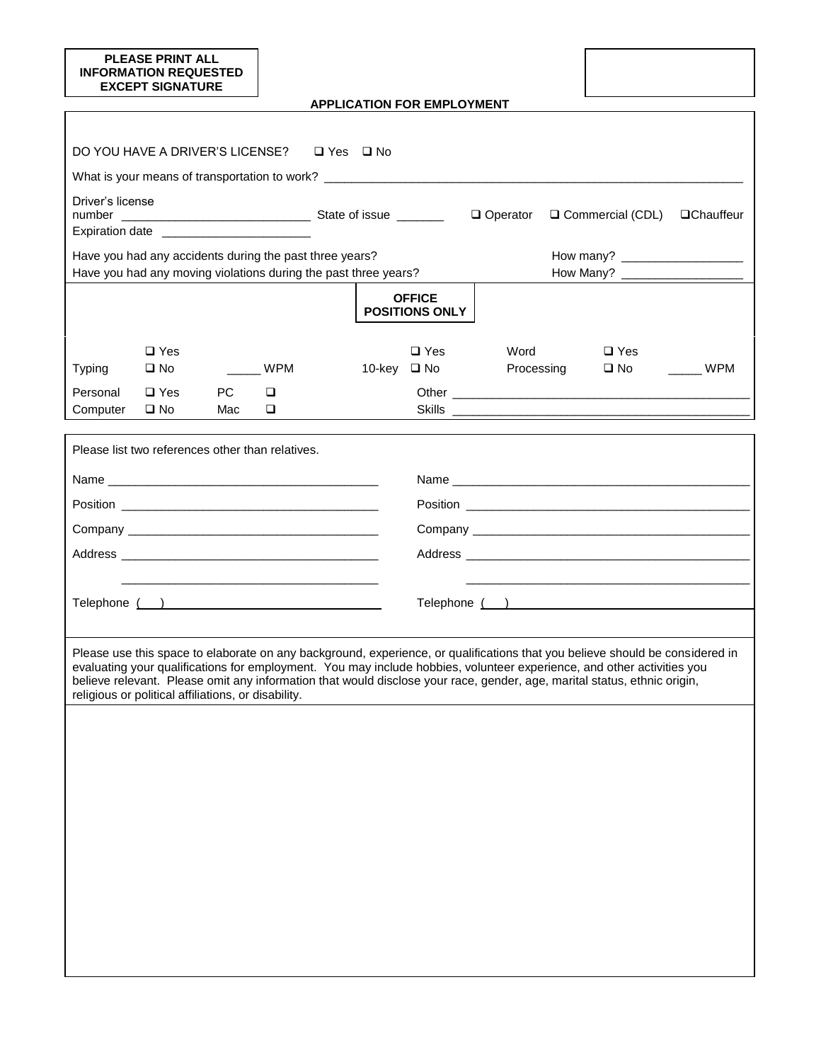| <b>PLEASE PRINT ALL</b><br><b>INFORMATION REQUESTED</b><br><b>EXCEPT SIGNATURE</b>                                                                                                                                                                                                                                                                                                                                                        |                      |  |                                        |            |                    |                   |
|-------------------------------------------------------------------------------------------------------------------------------------------------------------------------------------------------------------------------------------------------------------------------------------------------------------------------------------------------------------------------------------------------------------------------------------------|----------------------|--|----------------------------------------|------------|--------------------|-------------------|
|                                                                                                                                                                                                                                                                                                                                                                                                                                           |                      |  | <b>APPLICATION FOR EMPLOYMENT</b>      |            |                    |                   |
|                                                                                                                                                                                                                                                                                                                                                                                                                                           |                      |  |                                        |            |                    |                   |
| DO YOU HAVE A DRIVER'S LICENSE?                                                                                                                                                                                                                                                                                                                                                                                                           | $\Box$ Yes $\Box$ No |  |                                        |            |                    |                   |
|                                                                                                                                                                                                                                                                                                                                                                                                                                           |                      |  |                                        |            |                    |                   |
| Driver's license                                                                                                                                                                                                                                                                                                                                                                                                                          |                      |  |                                        | Operator   | □ Commercial (CDL) | <b>QChauffeur</b> |
| Expiration date _______________________                                                                                                                                                                                                                                                                                                                                                                                                   |                      |  |                                        |            |                    |                   |
| Have you had any accidents during the past three years?                                                                                                                                                                                                                                                                                                                                                                                   |                      |  |                                        |            |                    |                   |
| Have you had any moving violations during the past three years?                                                                                                                                                                                                                                                                                                                                                                           |                      |  |                                        |            |                    |                   |
|                                                                                                                                                                                                                                                                                                                                                                                                                                           |                      |  | <b>OFFICE</b><br><b>POSITIONS ONLY</b> |            |                    |                   |
| $\Box$ Yes                                                                                                                                                                                                                                                                                                                                                                                                                                |                      |  | $\Box$ Yes                             | Word       | $\Box$ Yes         |                   |
| $\square$ No<br><b>Typing</b>                                                                                                                                                                                                                                                                                                                                                                                                             | $\frac{1}{2}$ WPM    |  | 10-key □ No                            | Processing | $\square$ No       | WPM               |
| PC<br>Personal<br>$\Box$ Yes<br>Computer<br>$\square$ No<br>Mac                                                                                                                                                                                                                                                                                                                                                                           | $\Box$<br>O.         |  |                                        |            |                    |                   |
|                                                                                                                                                                                                                                                                                                                                                                                                                                           |                      |  |                                        |            |                    |                   |
| Please list two references other than relatives.                                                                                                                                                                                                                                                                                                                                                                                          |                      |  |                                        |            |                    |                   |
|                                                                                                                                                                                                                                                                                                                                                                                                                                           |                      |  |                                        |            |                    |                   |
|                                                                                                                                                                                                                                                                                                                                                                                                                                           |                      |  |                                        |            |                    |                   |
|                                                                                                                                                                                                                                                                                                                                                                                                                                           |                      |  |                                        |            |                    |                   |
|                                                                                                                                                                                                                                                                                                                                                                                                                                           |                      |  |                                        |            |                    |                   |
|                                                                                                                                                                                                                                                                                                                                                                                                                                           |                      |  |                                        |            |                    |                   |
| Telephone ( )                                                                                                                                                                                                                                                                                                                                                                                                                             |                      |  |                                        |            |                    |                   |
|                                                                                                                                                                                                                                                                                                                                                                                                                                           |                      |  |                                        |            |                    |                   |
| Please use this space to elaborate on any background, experience, or qualifications that you believe should be considered in<br>evaluating your qualifications for employment. You may include hobbies, volunteer experience, and other activities you<br>believe relevant. Please omit any information that would disclose your race, gender, age, marital status, ethnic origin,<br>religious or political affiliations, or disability. |                      |  |                                        |            |                    |                   |
|                                                                                                                                                                                                                                                                                                                                                                                                                                           |                      |  |                                        |            |                    |                   |
|                                                                                                                                                                                                                                                                                                                                                                                                                                           |                      |  |                                        |            |                    |                   |
|                                                                                                                                                                                                                                                                                                                                                                                                                                           |                      |  |                                        |            |                    |                   |
|                                                                                                                                                                                                                                                                                                                                                                                                                                           |                      |  |                                        |            |                    |                   |
|                                                                                                                                                                                                                                                                                                                                                                                                                                           |                      |  |                                        |            |                    |                   |
|                                                                                                                                                                                                                                                                                                                                                                                                                                           |                      |  |                                        |            |                    |                   |
|                                                                                                                                                                                                                                                                                                                                                                                                                                           |                      |  |                                        |            |                    |                   |
|                                                                                                                                                                                                                                                                                                                                                                                                                                           |                      |  |                                        |            |                    |                   |
|                                                                                                                                                                                                                                                                                                                                                                                                                                           |                      |  |                                        |            |                    |                   |
|                                                                                                                                                                                                                                                                                                                                                                                                                                           |                      |  |                                        |            |                    |                   |
|                                                                                                                                                                                                                                                                                                                                                                                                                                           |                      |  |                                        |            |                    |                   |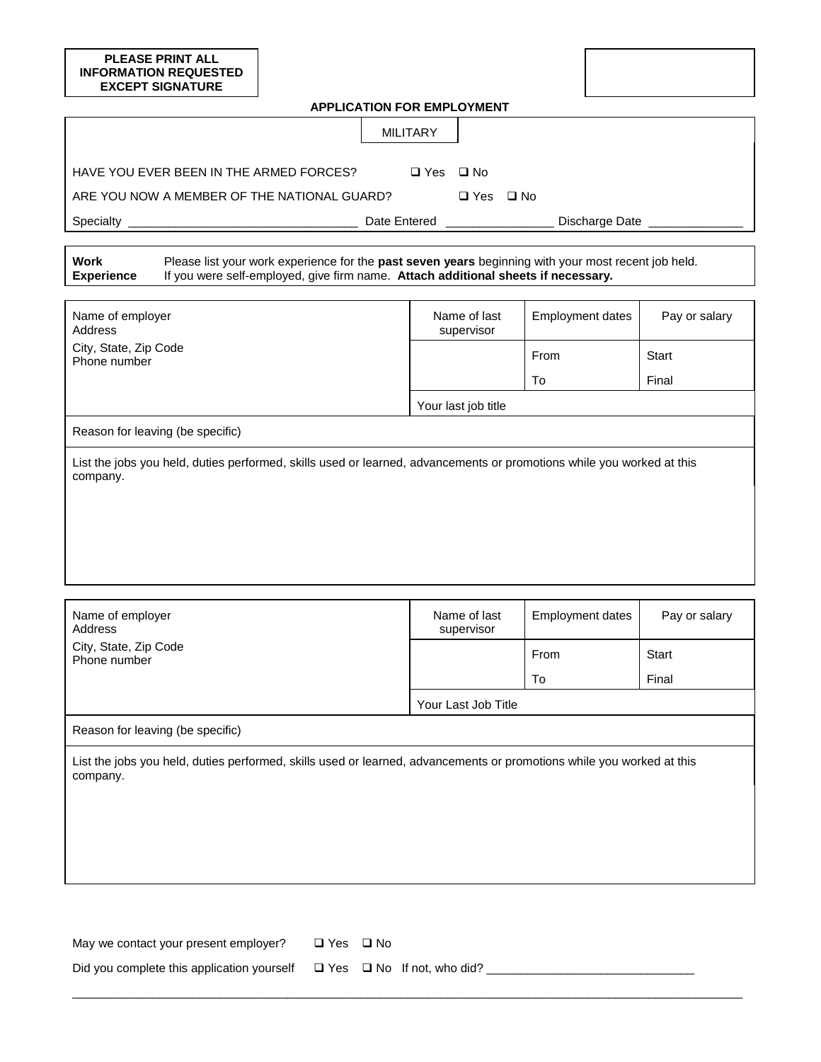## **PLEASE PRINT ALL INFORMATION REQUESTED EXCEPT SIGNATURE APPLICATION FOR EMPLOYMENT** MILITARY HAVE YOU EVER BEEN IN THE ARMED FORCES? ❑ Yes ❑ No ARE YOU NOW A MEMBER OF THE NATIONAL GUARD?  $□$  Yes  $□$  No Specialty \_\_\_\_\_\_\_\_\_\_\_\_\_\_\_\_\_\_\_\_\_\_\_\_\_\_\_\_\_\_\_\_\_\_ Date Entered \_\_\_\_\_\_\_\_\_\_\_\_\_\_\_\_ Discharge Date \_\_\_\_\_\_\_\_\_\_\_\_\_\_

**Work Experience** Please list your work experience for the **past seven years** beginning with your most recent job held. If you were self-employed, give firm name. **Attach additional sheets if necessary.**

| Name of employer<br>Address                                                                                                       | Name of last<br><b>Employment dates</b><br>supervisor |      | Pay or salary |  |  |
|-----------------------------------------------------------------------------------------------------------------------------------|-------------------------------------------------------|------|---------------|--|--|
| City, State, Zip Code<br>Phone number                                                                                             |                                                       | From | Start         |  |  |
|                                                                                                                                   |                                                       | To   | Final         |  |  |
|                                                                                                                                   | Your last job title                                   |      |               |  |  |
| Reason for leaving (be specific)                                                                                                  |                                                       |      |               |  |  |
| List the jobs you held, duties performed, skills used or learned, advancements or promotions while you worked at this<br>company. |                                                       |      |               |  |  |
|                                                                                                                                   |                                                       |      |               |  |  |
|                                                                                                                                   |                                                       |      |               |  |  |
|                                                                                                                                   |                                                       |      |               |  |  |

| Name of employer<br>Address                                                                                                       | Name of last<br>supervisor | <b>Employment dates</b> | Pay or salary |  |
|-----------------------------------------------------------------------------------------------------------------------------------|----------------------------|-------------------------|---------------|--|
| City, State, Zip Code<br>Phone number                                                                                             |                            | From                    | Start         |  |
|                                                                                                                                   |                            | To                      | Final         |  |
|                                                                                                                                   | Your Last Job Title        |                         |               |  |
| Reason for leaving (be specific)                                                                                                  |                            |                         |               |  |
| List the jobs you held, duties performed, skills used or learned, advancements or promotions while you worked at this<br>company. |                            |                         |               |  |
|                                                                                                                                   |                            |                         |               |  |
|                                                                                                                                   |                            |                         |               |  |
|                                                                                                                                   |                            |                         |               |  |
|                                                                                                                                   |                            |                         |               |  |

\_\_\_\_\_\_\_\_\_\_\_\_\_\_\_\_\_\_\_\_\_\_\_\_\_\_\_\_\_\_\_\_\_\_\_\_\_\_\_\_\_\_\_\_\_\_\_\_\_\_\_\_\_\_\_\_\_\_\_\_\_\_\_\_\_\_\_\_\_\_\_\_\_\_\_\_\_\_\_\_\_\_\_\_\_\_\_\_\_\_\_\_\_\_\_\_\_\_\_\_

| May we contact your present employer?                                            | □ Yes □ No |  |
|----------------------------------------------------------------------------------|------------|--|
| Did you complete this application yourself $\Box$ Yes $\Box$ No If not, who did? |            |  |